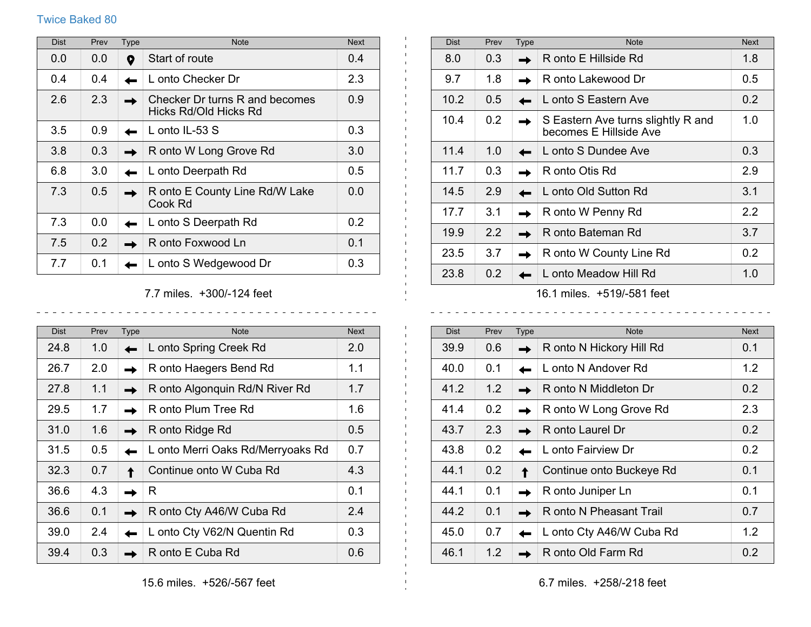## Twice Baked 80

| <b>Dist</b> | Prev | Type | <b>Note</b>                                             | <b>Next</b>   |
|-------------|------|------|---------------------------------------------------------|---------------|
| 0.0         | 0.0  | O    | Start of route                                          | 0.4           |
| 0.4         | 0.4  |      | L onto Checker Dr                                       | 2.3           |
| 2.6         | 2.3  |      | Checker Dr turns R and becomes<br>Hicks Rd/Old Hicks Rd | 0.9           |
| 3.5         | 0.9  |      | L onto IL-53 $S$                                        | 0.3           |
| 3.8         | 0.3  |      | R onto W Long Grove Rd                                  | 3.0           |
| 6.8         | 3.0  |      | L onto Deerpath Rd                                      | $0.5^{\circ}$ |
| 7.3         | 0.5  |      | R onto E County Line Rd/W Lake<br>Cook Rd               | 0.0           |
| 7.3         | 0.0  |      | L onto S Deerpath Rd                                    | 0.2           |
| 7.5         | 0.2  |      | R onto Foxwood Ln                                       | 0.1           |
| 7.7         | 0.1  |      | L onto S Wedgewood Dr                                   | 0.3           |

7.7 miles. +300/-124 feet  $\begin{array}{cccccccccccccc} \bot & \bot & \bot & \bot & \bot & \bot & \bot & \bot \end{array}$ 

<u>. . . . . . . . . . . .</u>

 $\blacksquare$ 

| <b>Dist</b> | Prev          | <b>Type</b> | <b>Note</b>                       | <b>Next</b>   |
|-------------|---------------|-------------|-----------------------------------|---------------|
| 24.8        | 1.0           |             | L onto Spring Creek Rd            | 2.0           |
| 26.7        | 2.0           |             | R onto Haegers Bend Rd            | 1.1           |
| 27.8        | 1.1           |             | R onto Algonquin Rd/N River Rd    | 1.7           |
| 29.5        | 1.7           |             | R onto Plum Tree Rd               | 1.6           |
| 31.0        | 1.6           |             | R onto Ridge Rd                   | $0.5^{\circ}$ |
| 31.5        | $0.5^{\circ}$ |             | L onto Merri Oaks Rd/Merryoaks Rd | 0.7           |
| 32.3        | 0.7           |             | Continue onto W Cuba Rd           | 4.3           |
| 36.6        | 4.3           |             | R.                                | 0.1           |
| 36.6        | 0.1           |             | R onto Cty A46/W Cuba Rd          | 2.4           |
| 39.0        | 2.4           |             | L onto Cty V62/N Quentin Rd       | 0.3           |
| 39.4        | 0.3           |             | R onto E Cuba Rd                  | 0.6           |

| <b>Dist</b> | Prev          | <b>Type</b> | <b>Note</b>                                                  | <b>Next</b>      |
|-------------|---------------|-------------|--------------------------------------------------------------|------------------|
| 8.0         | 0.3           |             | R onto E Hillside Rd                                         | 1.8              |
| 9.7         | 1.8           |             | R onto Lakewood Dr                                           | 0.5              |
| 10.2        | 0.5           |             | L onto S Eastern Ave                                         | 0.2              |
| 10.4        | 0.2           |             | S Eastern Ave turns slightly R and<br>becomes E Hillside Ave | 1.0              |
| 11.4        | 1.0           |             | L onto S Dundee Ave                                          | 0.3              |
| 11.7        | 0.3           |             | R onto Otis Rd                                               | 2.9              |
| 14.5        | 2.9           |             | L onto Old Sutton Rd                                         | 3.1              |
| 17.7        | 3.1           |             | R onto W Penny Rd                                            | $2.2\phantom{0}$ |
| 19.9        | $2.2^{\circ}$ |             | R onto Bateman Rd                                            | 3.7              |
| 23.5        | 3.7           |             | R onto W County Line Rd                                      | 0.2 <sub>0</sub> |
| 23.8        | 0.2           |             | L onto Meadow Hill Rd                                        | 1.0              |
|             |               |             |                                                              |                  |

16.1 miles. +519/-581 feet 

 $\frac{1}{2} \left( \frac{1}{2} \right) \left( \frac{1}{2} \right) \left( \frac{1}{2} \right) \left( \frac{1}{2} \right) \left( \frac{1}{2} \right) \left( \frac{1}{2} \right) \left( \frac{1}{2} \right) \left( \frac{1}{2} \right) \left( \frac{1}{2} \right) \left( \frac{1}{2} \right) \left( \frac{1}{2} \right) \left( \frac{1}{2} \right) \left( \frac{1}{2} \right) \left( \frac{1}{2} \right) \left( \frac{1}{2} \right) \left( \frac{1}{2} \right) \left( \frac$ 

 $\sim$   $\sim$ 

| <b>Dist</b> | Prev | <b>Type</b> | <b>Note</b>              | <b>Next</b> |
|-------------|------|-------------|--------------------------|-------------|
| 39.9        | 0.6  |             | R onto N Hickory Hill Rd | 0.1         |
| 40.0        | 0.1  |             | L onto N Andover Rd      | 1.2         |
| 41.2        | 1.2  |             | R onto N Middleton Dr    | 0.2         |
| 41.4        | 0.2  |             | R onto W Long Grove Rd   | 2.3         |
| 43.7        | 2.3  |             | R onto Laurel Dr         | 0.2         |
| 43.8        | 0.2  |             | L onto Fairview Dr       | 0.2         |
| 44.1        | 0.2  |             | Continue onto Buckeye Rd | 0.1         |
| 44.1        | 0.1  |             | R onto Juniper Ln        | 0.1         |
| 44.2        | 0.1  |             | R onto N Pheasant Trail  | 0.7         |
| 45.0        | 0.7  |             | L onto Cty A46/W Cuba Rd | 1.2         |
| 46.1        | 1.2  |             | R onto Old Farm Rd       | 0.2         |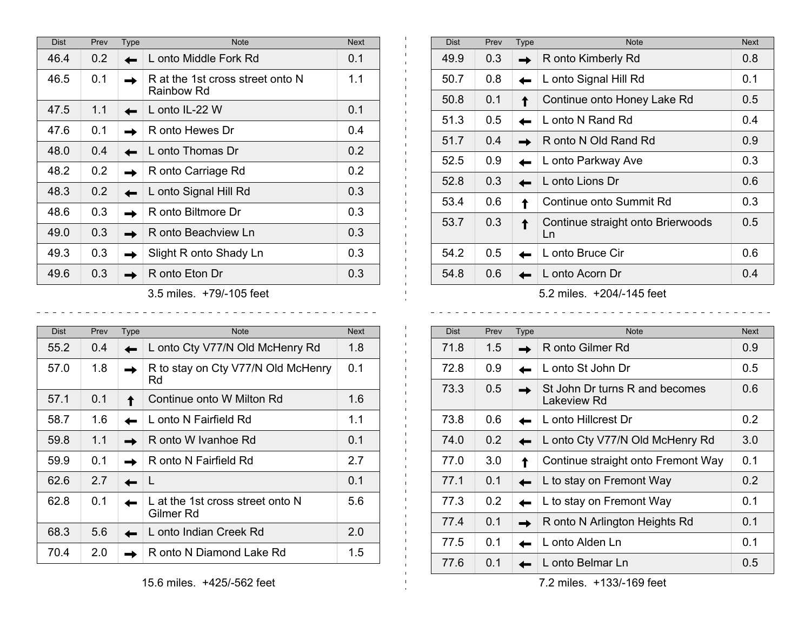| <b>Dist</b> | Prev | Type | <b>Note</b>                                    | <b>Next</b> |
|-------------|------|------|------------------------------------------------|-------------|
| 46.4        | 0.2  |      | L onto Middle Fork Rd                          | 0.1         |
| 46.5        | 0.1  |      | R at the 1st cross street onto N<br>Rainbow Rd | 1.1         |
| 47.5        | 1.1  |      | L onto IL-22 W                                 | 0.1         |
| 47.6        | 0.1  |      | R onto Hewes Dr                                | 0.4         |
| 48.0        | 0.4  |      | L onto Thomas Dr                               | 0.2         |
| 48.2        | 0.2  |      | R onto Carriage Rd                             | 0.2         |
| 48.3        | 0.2  |      | L onto Signal Hill Rd                          | 0.3         |
| 48.6        | 0.3  |      | R onto Biltmore Dr                             | 0.3         |
| 49.0        | 0.3  |      | R onto Beachview Ln                            | 0.3         |
| 49.3        | 0.3  |      | Slight R onto Shady Ln                         | 0.3         |
| 49.6        | 0.3  |      | R onto Eton Dr                                 | 0.3         |
|             |      |      | $2.5 \pm 1.1$                                  |             |

- 11

 $\mathbf{L}$  $\mathbf{H}$  .  $\sim$ 

 $\mathbf{I}$  $\pm$  $\mathbf{L}$  $\mathbf{L}$  $\mathbf{L}$  $\mathbf{L}$  $\mathbf{L}$  $\mathbf{L}$  $\mathbf{L}$ 

 $\mathbf{L}$ 

 $\blacksquare$ 

\_ \_ \_ \_ \_ \_ \_ \_ \_ \_ \_ \_ \_

<u>. . . . . . . . . . . . . . .</u>

3.5 miles. +79/-105 feet

\_ \_ \_ \_ \_ \_ \_ \_ \_ \_ \_ \_ \_ \_ \_ \_ \_

| <b>Dist</b> | Prev | <b>Type</b> | <b>Note</b>                                   | <b>Next</b> |
|-------------|------|-------------|-----------------------------------------------|-------------|
| 55.2        | 0.4  |             | L onto Cty V77/N Old McHenry Rd               | 1.8         |
| 57.0        | 1.8  |             | R to stay on Cty V77/N Old McHenry<br>Rd      | 0.1         |
| 57.1        | 0.1  |             | Continue onto W Milton Rd                     | 1.6         |
| 58.7        | 1.6  |             | L onto N Fairfield Rd                         | 1.1         |
| 59.8        | 1.1  |             | R onto W Ivanhoe Rd                           | 0.1         |
| 59.9        | 0.1  |             | R onto N Fairfield Rd                         | 2.7         |
| 62.6        | 2.7  |             |                                               | 0.1         |
| 62.8        | 0.1  |             | L at the 1st cross street onto N<br>Gilmer Rd | 5.6         |
| 68.3        | 5.6  |             | L onto Indian Creek Rd                        | 2.0         |
| 70.4        | 2.0  |             | R onto N Diamond Lake Rd                      | 1.5         |

| Prev | <b>Type</b> | <b>Note</b>                             | <b>Next</b> |
|------|-------------|-----------------------------------------|-------------|
| 0.3  |             | R onto Kimberly Rd                      | 0.8         |
| 0.8  |             | L onto Signal Hill Rd                   | 0.1         |
| 0.1  |             | Continue onto Honey Lake Rd             | 0.5         |
| 0.5  |             | L onto N Rand Rd                        | 0.4         |
| 0.4  |             | R onto N Old Rand Rd                    | 0.9         |
| 0.9  |             | L onto Parkway Ave                      | 0.3         |
| 0.3  |             | L onto Lions Dr                         | 0.6         |
| 0.6  |             | Continue onto Summit Rd                 | 0.3         |
| 0.3  |             | Continue straight onto Brierwoods<br>Ln | 0.5         |
| 0.5  |             | L onto Bruce Cir                        | 0.6         |
| 0.6  |             | L onto Acorn Dr                         | 0.4         |
|      |             |                                         |             |

5.2 miles. +204/-145 feet

 $\frac{1}{2}$  =  $\frac{1}{2}$  =  $\frac{1}{2}$  =  $\frac{1}{2}$  =  $\frac{1}{2}$  =  $\frac{1}{2}$ 

| <b>Dist</b> | Prev | <b>Type</b> | <b>Note</b>                                   | <b>Next</b> |
|-------------|------|-------------|-----------------------------------------------|-------------|
| 71.8        | 1.5  |             | R onto Gilmer Rd                              | 0.9         |
| 72.8        | 0.9  |             | L onto St John Dr                             | 0.5         |
| 73.3        | 0.5  |             | St John Dr turns R and becomes<br>Lakeview Rd | 0.6         |
| 73.8        | 0.6  |             | L onto Hillcrest Dr                           | 0.2         |
| 74.0        | 0.2  |             | L onto Cty V77/N Old McHenry Rd               | 3.0         |
| 77.0        | 3.0  |             | Continue straight onto Fremont Way            | 0.1         |
| 77.1        | 0.1  |             | L to stay on Fremont Way                      | 0.2         |
| 77.3        | 0.2  |             | L to stay on Fremont Way                      | 0.1         |
| 77.4        | 0.1  |             | R onto N Arlington Heights Rd                 | 0.1         |
| 77.5        | 0.1  |             | L onto Alden Ln                               | 0.1         |
| 77.6        | 0.1  |             | L onto Belmar Ln                              | 0.5         |

7.2 miles. +133/-169 feet